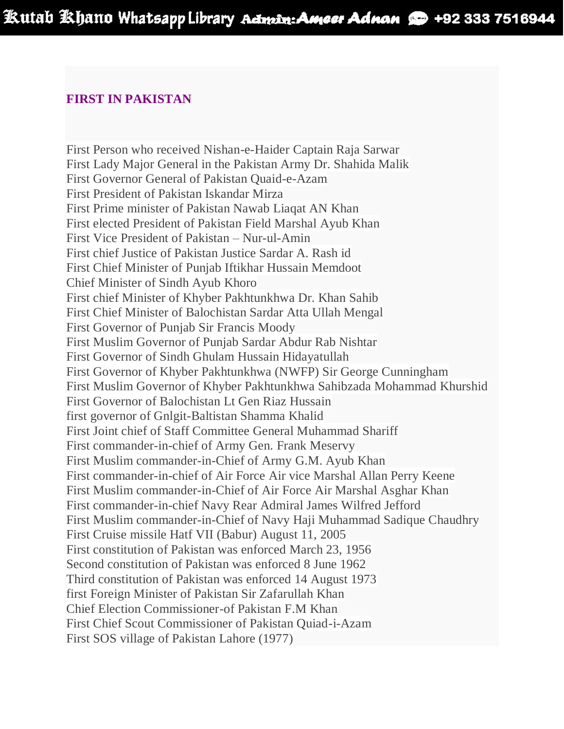## **FIRST IN PAKISTAN**

First Person who received Nishan-e-Haider Captain Raja Sarwar First Lady Major General in the Pakistan Army Dr. Shahida Malik First Governor General of Pakistan Quaid-e-Azam First President of Pakistan Iskandar Mirza First Prime minister of Pakistan Nawab Liaqat AN Khan First elected President of Pakistan Field Marshal Ayub Khan First Vice President of Pakistan – Nur-ul-Amin First chief Justice of Pakistan Justice Sardar A. Rash id First Chief Minister of Punjab Iftikhar Hussain Memdoot Chief Minister of Sindh Ayub Khoro First chief Minister of Khyber Pakhtunkhwa Dr. Khan Sahib First Chief Minister of Balochistan Sardar Atta Ullah Mengal First Governor of Punjab Sir Francis Moody First Muslim Governor of Punjab Sardar Abdur Rab Nishtar First Governor of Sindh Ghulam Hussain Hidayatullah First Governor of Khyber Pakhtunkhwa (NWFP) Sir George Cunningham First Muslim Governor of Khyber Pakhtunkhwa Sahibzada Mohammad Khurshid First Governor of Balochistan Lt Gen Riaz Hussain first governor of Gnlgit-Baltistan Shamma Khalid First Joint chief of Staff Committee General Muhammad Shariff First commander-in-chief of Army Gen. Frank Meservy First Muslim commander-in-Chief of Army G.M. Ayub Khan First commander-in-chief of Air Force Air vice Marshal Allan Perry Keene First Muslim commander-in-Chief of Air Force Air Marshal Asghar Khan First commander-in-chief Navy Rear Admiral James Wilfred Jefford First Muslim commander-in-Chief of Navy Haji Muhammad Sadique Chaudhry First Cruise missile Hatf VII (Babur) August 11, 2005 First constitution of Pakistan was enforced March 23, 1956 Second constitution of Pakistan was enforced 8 June 1962 Third constitution of Pakistan was enforced 14 August 1973 first Foreign Minister of Pakistan Sir Zafarullah Khan Chief Election Commissioner-of Pakistan F.M Khan First Chief Scout Commissioner of Pakistan Quiad-i-Azam First SOS village of Pakistan Lahore (1977)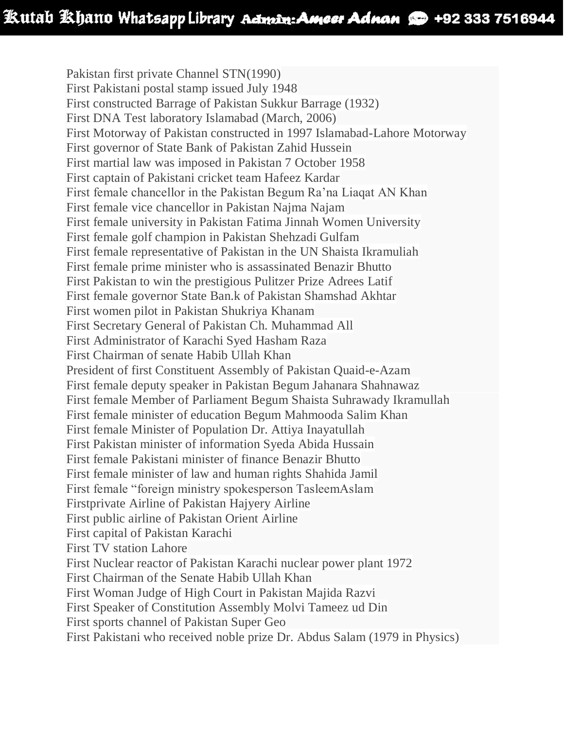Pakistan first private Channel STN(1990) First Pakistani postal stamp issued July 1948 First constructed Barrage of Pakistan Sukkur Barrage (1932) First DNA Test laboratory Islamabad (March, 2006) First Motorway of Pakistan constructed in 1997 Islamabad-Lahore Motorway First governor of State Bank of Pakistan Zahid Hussein First martial law was imposed in Pakistan 7 October 1958 First captain of Pakistani cricket team Hafeez Kardar First female chancellor in the Pakistan Begum Ra'na Liaqat AN Khan First female vice chancellor in Pakistan Najma Najam First female university in Pakistan Fatima Jinnah Women University First female golf champion in Pakistan Shehzadi Gulfam First female representative of Pakistan in the UN Shaista Ikramuliah First female prime minister who is assassinated Benazir Bhutto First Pakistan to win the prestigious Pulitzer Prize Adrees Latif First female governor State Ban.k of Pakistan Shamshad Akhtar First women pilot in Pakistan Shukriya Khanam First Secretary General of Pakistan Ch. Muhammad All First Administrator of Karachi Syed Hasham Raza First Chairman of senate Habib Ullah Khan President of first Constituent Assembly of Pakistan Quaid-e-Azam First female deputy speaker in Pakistan Begum Jahanara Shahnawaz First female Member of Parliament Begum Shaista Suhrawady Ikramullah First female minister of education Begum Mahmooda Salim Khan First female Minister of Population Dr. Attiya Inayatullah First Pakistan minister of information Syeda Abida Hussain First female Pakistani minister of finance Benazir Bhutto First female minister of law and human rights Shahida Jamil First female "foreign ministry spokesperson TasleemAslam Firstprivate Airline of Pakistan Hajyery Airline First public airline of Pakistan Orient Airline First capital of Pakistan Karachi First TV station Lahore First Nuclear reactor of Pakistan Karachi nuclear power plant 1972 First Chairman of the Senate Habib Ullah Khan First Woman Judge of High Court in Pakistan Majida Razvi First Speaker of Constitution Assembly Molvi Tameez ud Din First sports channel of Pakistan Super Geo

First Pakistani who received noble prize Dr. Abdus Salam (1979 in Physics)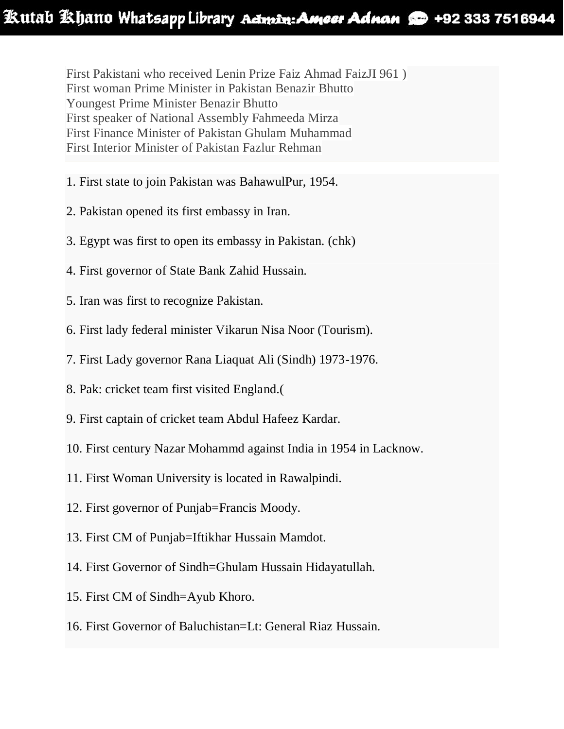First Pakistani who received Lenin Prize Faiz Ahmad FaizJI 961 ) First woman Prime Minister in Pakistan Benazir Bhutto Youngest Prime Minister Benazir Bhutto First speaker of National Assembly Fahmeeda Mirza First Finance Minister of Pakistan Ghulam Muhammad First Interior Minister of Pakistan Fazlur Rehman

- 1. First state to join Pakistan was BahawulPur, 1954.
- 2. Pakistan opened its first embassy in Iran.
- 3. Egypt was first to open its embassy in Pakistan. (chk)
- 4. First governor of State Bank Zahid Hussain.
- 5. Iran was first to recognize Pakistan.
- 6. First lady federal minister Vikarun Nisa Noor (Tourism).
- 7. First Lady governor Rana Liaquat Ali (Sindh) 1973-1976.
- 8. Pak: cricket team first visited England.(
- 9. First captain of cricket team Abdul Hafeez Kardar.
- 10. First century Nazar Mohammd against India in 1954 in Lacknow.
- 11. First Woman University is located in Rawalpindi.
- 12. First governor of Punjab=Francis Moody.
- 13. First CM of Punjab=Iftikhar Hussain Mamdot.
- 14. First Governor of Sindh=Ghulam Hussain Hidayatullah.
- 15. First CM of Sindh=Ayub Khoro.
- 16. First Governor of Baluchistan=Lt: General Riaz Hussain.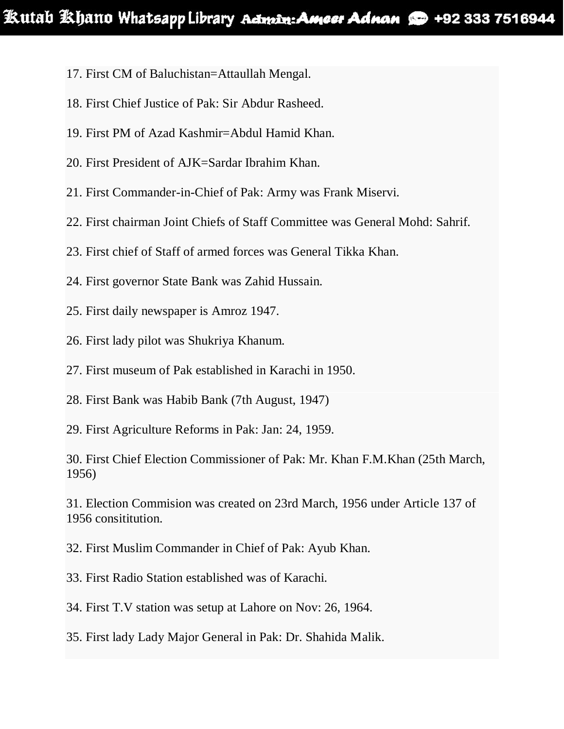- 17. First CM of Baluchistan=Attaullah Mengal.
- 18. First Chief Justice of Pak: Sir Abdur Rasheed.
- 19. First PM of Azad Kashmir=Abdul Hamid Khan.
- 20. First President of AJK=Sardar Ibrahim Khan.
- 21. First Commander-in-Chief of Pak: Army was Frank Miservi.
- 22. First chairman Joint Chiefs of Staff Committee was General Mohd: Sahrif.
- 23. First chief of Staff of armed forces was General Tikka Khan.
- 24. First governor State Bank was Zahid Hussain.
- 25. First daily newspaper is Amroz 1947.
- 26. First lady pilot was Shukriya Khanum.
- 27. First museum of Pak established in Karachi in 1950.
- 28. First Bank was Habib Bank (7th August, 1947)
- 29. First Agriculture Reforms in Pak: Jan: 24, 1959.
- 30. First Chief Election Commissioner of Pak: Mr. Khan F.M.Khan (25th March, 1956)
- 31. Election Commision was created on 23rd March, 1956 under Article 137 of 1956 consititution.
- 32. First Muslim Commander in Chief of Pak: Ayub Khan.
- 33. First Radio Station established was of Karachi.
- 34. First T.V station was setup at Lahore on Nov: 26, 1964.
- 35. First lady Lady Major General in Pak: Dr. Shahida Malik.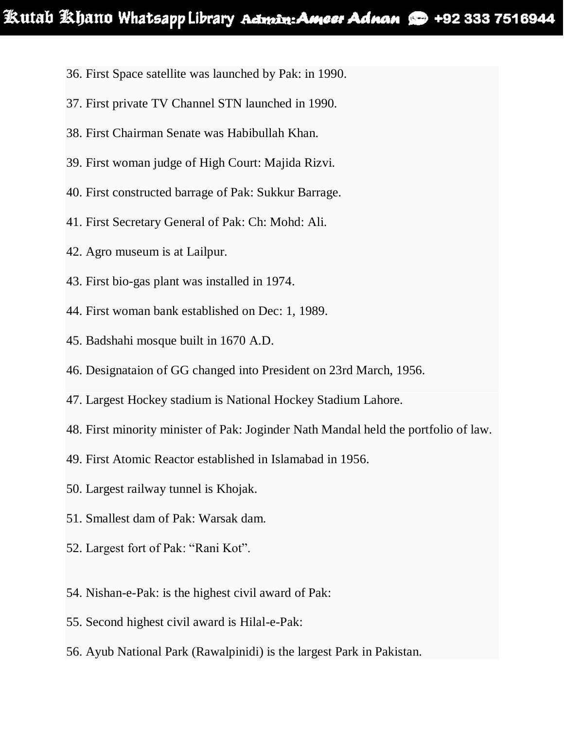- 36. First Space satellite was launched by Pak: in 1990.
- 37. First private TV Channel STN launched in 1990.
- 38. First Chairman Senate was Habibullah Khan.
- 39. First woman judge of High Court: Majida Rizvi.
- 40. First constructed barrage of Pak: Sukkur Barrage.
- 41. First Secretary General of Pak: Ch: Mohd: Ali.
- 42. Agro museum is at Lailpur.
- 43. First bio-gas plant was installed in 1974.
- 44. First woman bank established on Dec: 1, 1989.
- 45. Badshahi mosque built in 1670 A.D.
- 46. Designataion of GG changed into President on 23rd March, 1956.
- 47. Largest Hockey stadium is National Hockey Stadium Lahore.
- 48. First minority minister of Pak: Joginder Nath Mandal held the portfolio of law.
- 49. First Atomic Reactor established in Islamabad in 1956.
- 50. Largest railway tunnel is Khojak.
- 51. Smallest dam of Pak: Warsak dam.
- 52. Largest fort of Pak: "Rani Kot".
- 54. Nishan-e-Pak: is the highest civil award of Pak:
- 55. Second highest civil award is Hilal-e-Pak:
- 56. Ayub National Park (Rawalpinidi) is the largest Park in Pakistan.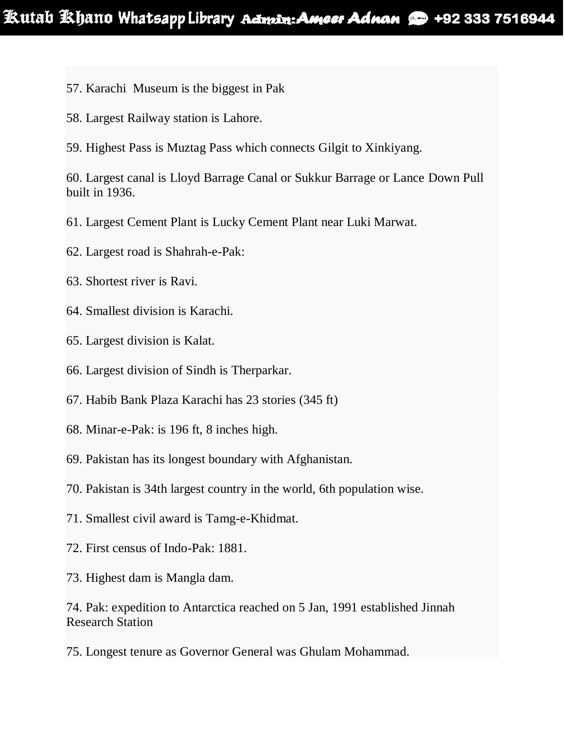- 57. Karachi Museum is the biggest in Pak
- 58. Largest Railway station is Lahore.
- 59. Highest Pass is Muztag Pass which connects Gilgit to Xinkiyang.

60. Largest canal is Lloyd Barrage Canal or Sukkur Barrage or Lance Down Pull built in 1936.

61. Largest Cement Plant is Lucky Cement Plant near Luki Marwat.

- 62. Largest road is Shahrah-e-Pak:
- 63. Shortest river is Ravi.
- 64. Smallest division is Karachi.
- 65. Largest division is Kalat.
- 66. Largest division of Sindh is Therparkar.
- 67. Habib Bank Plaza Karachi has 23 stories (345 ft)
- 68. Minar-e-Pak: is 196 ft, 8 inches high.
- 69. Pakistan has its longest boundary with Afghanistan.
- 70. Pakistan is 34th largest country in the world, 6th population wise.
- 71. Smallest civil award is Tamg-e-Khidmat.
- 72. First census of Indo-Pak: 1881.
- 73. Highest dam is Mangla dam.

74. Pak: expedition to Antarctica reached on 5 Jan, 1991 established Jinnah Research Station

75. Longest tenure as Governor General was Ghulam Mohammad.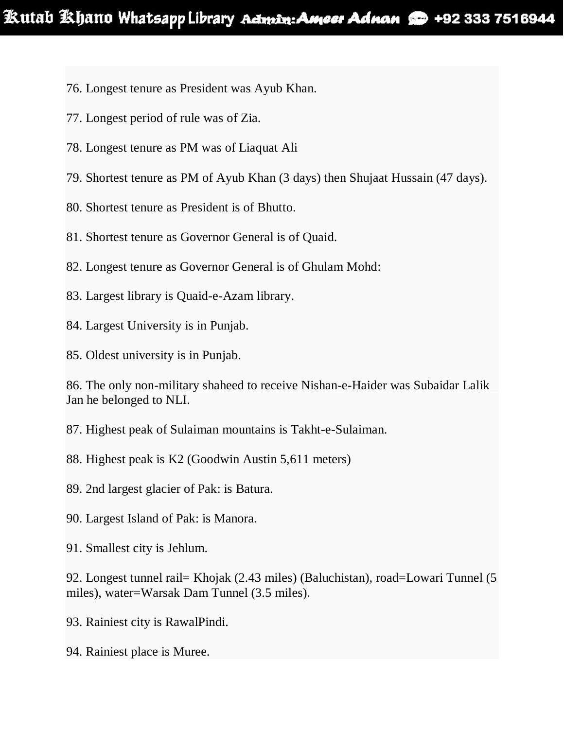- 76. Longest tenure as President was Ayub Khan.
- 77. Longest period of rule was of Zia.
- 78. Longest tenure as PM was of Liaquat Ali
- 79. Shortest tenure as PM of Ayub Khan (3 days) then Shujaat Hussain (47 days).
- 80. Shortest tenure as President is of Bhutto.
- 81. Shortest tenure as Governor General is of Quaid.
- 82. Longest tenure as Governor General is of Ghulam Mohd:
- 83. Largest library is Quaid-e-Azam library.
- 84. Largest University is in Punjab.
- 85. Oldest university is in Punjab.

86. The only non-military shaheed to receive Nishan-e-Haider was Subaidar Lalik Jan he belonged to NLI.

87. Highest peak of Sulaiman mountains is Takht-e-Sulaiman.

- 88. Highest peak is K2 (Goodwin Austin 5,611 meters)
- 89. 2nd largest glacier of Pak: is Batura.
- 90. Largest Island of Pak: is Manora.
- 91. Smallest city is Jehlum.

92. Longest tunnel rail= Khojak (2.43 miles) (Baluchistan), road=Lowari Tunnel (5 miles), water=Warsak Dam Tunnel (3.5 miles).

- 93. Rainiest city is RawalPindi.
- 94. Rainiest place is Muree.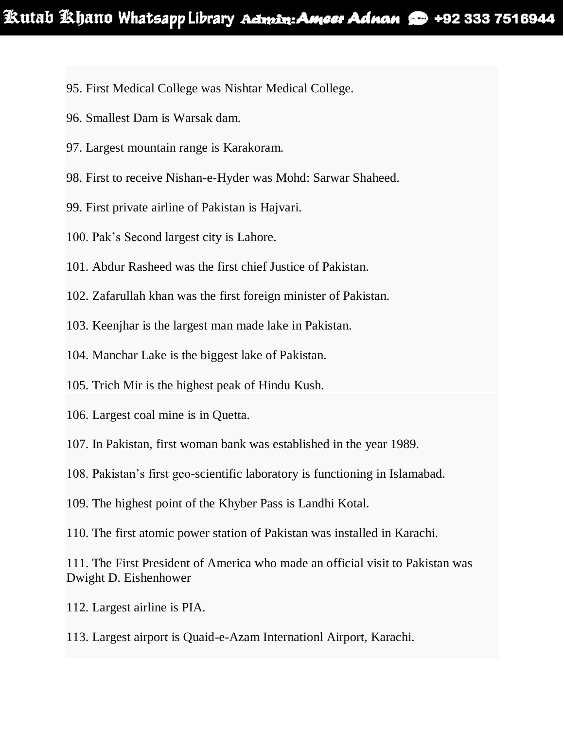- 95. First Medical College was Nishtar Medical College.
- 96. Smallest Dam is Warsak dam.
- 97. Largest mountain range is Karakoram.
- 98. First to receive Nishan-e-Hyder was Mohd: Sarwar Shaheed.
- 99. First private airline of Pakistan is Hajvari.
- 100. Pak's Second largest city is Lahore.
- 101. Abdur Rasheed was the first chief Justice of Pakistan.
- 102. Zafarullah khan was the first foreign minister of Pakistan.
- 103. Keenjhar is the largest man made lake in Pakistan.
- 104. Manchar Lake is the biggest lake of Pakistan.
- 105. Trich Mir is the highest peak of Hindu Kush.
- 106. Largest coal mine is in Quetta.
- 107. In Pakistan, first woman bank was established in the year 1989.
- 108. Pakistan's first geo-scientific laboratory is functioning in Islamabad.
- 109. The highest point of the Khyber Pass is Landhi Kotal.
- 110. The first atomic power station of Pakistan was installed in Karachi.

111. The First President of America who made an official visit to Pakistan was Dwight D. Eishenhower

- 112. Largest airline is PIA.
- 113. Largest airport is Quaid-e-Azam Internationl Airport, Karachi.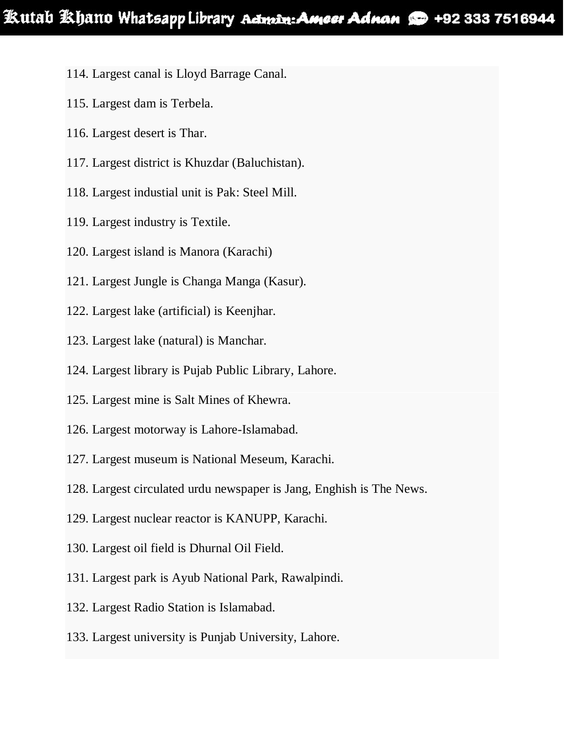- 114. Largest canal is Lloyd Barrage Canal.
- 115. Largest dam is Terbela.
- 116. Largest desert is Thar.
- 117. Largest district is Khuzdar (Baluchistan).
- 118. Largest industial unit is Pak: Steel Mill.
- 119. Largest industry is Textile.
- 120. Largest island is Manora (Karachi)
- 121. Largest Jungle is Changa Manga (Kasur).
- 122. Largest lake (artificial) is Keenjhar.
- 123. Largest lake (natural) is Manchar.
- 124. Largest library is Pujab Public Library, Lahore.
- 125. Largest mine is Salt Mines of Khewra.
- 126. Largest motorway is Lahore-Islamabad.
- 127. Largest museum is National Meseum, Karachi.
- 128. Largest circulated urdu newspaper is Jang, Enghish is The News.
- 129. Largest nuclear reactor is KANUPP, Karachi.
- 130. Largest oil field is Dhurnal Oil Field.
- 131. Largest park is Ayub National Park, Rawalpindi.
- 132. Largest Radio Station is Islamabad.
- 133. Largest university is Punjab University, Lahore.